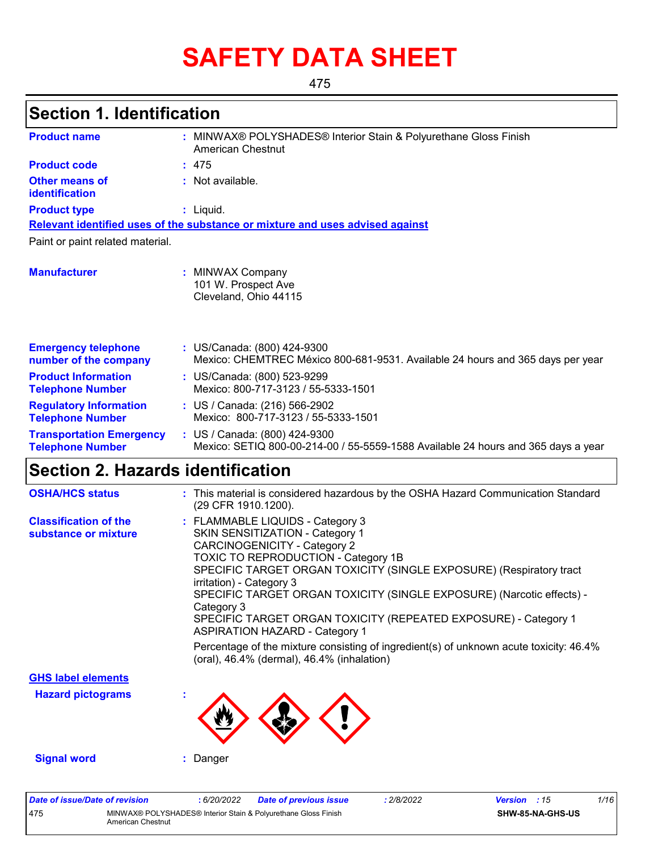# **SAFETY DATA SHEET**

475

## **Section 1. Identification**

| <b>Product name</b>                                        | MINWAX® POLYSHADES® Interior Stain & Polyurethane Gloss Finish<br>American Chestnut                                |
|------------------------------------------------------------|--------------------------------------------------------------------------------------------------------------------|
| <b>Product code</b>                                        | :475                                                                                                               |
| <b>Other means of</b><br>identification                    | : Not available.                                                                                                   |
| <b>Product type</b>                                        | $:$ Liquid.                                                                                                        |
|                                                            | Relevant identified uses of the substance or mixture and uses advised against                                      |
| Paint or paint related material.                           |                                                                                                                    |
| <b>Manufacturer</b>                                        | : MINWAX Company<br>101 W. Prospect Ave<br>Cleveland, Ohio 44115                                                   |
| <b>Emergency telephone</b><br>number of the company        | : US/Canada: (800) 424-9300<br>Mexico: CHEMTREC México 800-681-9531. Available 24 hours and 365 days per year      |
| <b>Product Information</b><br><b>Telephone Number</b>      | : US/Canada: (800) 523-9299<br>Mexico: 800-717-3123 / 55-5333-1501                                                 |
| <b>Regulatory Information</b><br><b>Telephone Number</b>   | : US / Canada: (216) 566-2902<br>Mexico: 800-717-3123 / 55-5333-1501                                               |
| <b>Transportation Emergency</b><br><b>Telephone Number</b> | : US / Canada: (800) 424-9300<br>Mexico: SETIQ 800-00-214-00 / 55-5559-1588 Available 24 hours and 365 days a year |

## **Section 2. Hazards identification**

| <b>OSHA/HCS status</b>                               | : This material is considered hazardous by the OSHA Hazard Communication Standard<br>(29 CFR 1910.1200).                                                                                                                                                                                                                                                                                                                                                                                                                                                                                              |
|------------------------------------------------------|-------------------------------------------------------------------------------------------------------------------------------------------------------------------------------------------------------------------------------------------------------------------------------------------------------------------------------------------------------------------------------------------------------------------------------------------------------------------------------------------------------------------------------------------------------------------------------------------------------|
| <b>Classification of the</b><br>substance or mixture | : FLAMMABLE LIQUIDS - Category 3<br>SKIN SENSITIZATION - Category 1<br><b>CARCINOGENICITY - Category 2</b><br>TOXIC TO REPRODUCTION - Category 1B<br>SPECIFIC TARGET ORGAN TOXICITY (SINGLE EXPOSURE) (Respiratory tract<br>irritation) - Category 3<br>SPECIFIC TARGET ORGAN TOXICITY (SINGLE EXPOSURE) (Narcotic effects) -<br>Category 3<br>SPECIFIC TARGET ORGAN TOXICITY (REPEATED EXPOSURE) - Category 1<br><b>ASPIRATION HAZARD - Category 1</b><br>Percentage of the mixture consisting of ingredient(s) of unknown acute toxicity: 46.4%<br>(oral), $46.4\%$ (dermal), $46.4\%$ (inhalation) |
| <b>GHS label elements</b>                            |                                                                                                                                                                                                                                                                                                                                                                                                                                                                                                                                                                                                       |
| <b>Hazard pictograms</b>                             |                                                                                                                                                                                                                                                                                                                                                                                                                                                                                                                                                                                                       |
| <b>Signal word</b>                                   | Danger                                                                                                                                                                                                                                                                                                                                                                                                                                                                                                                                                                                                |

| Date of issue/Date of revision |                                                                                     | : 6/20/2022 | <b>Date of previous issue</b> | : 2/8/2022 | <b>Version</b> : 15 |                         | 1/16 |
|--------------------------------|-------------------------------------------------------------------------------------|-------------|-------------------------------|------------|---------------------|-------------------------|------|
| 475                            | MINWAX® POLYSHADES® Interior Stain & Polyurethane Gloss Finish<br>American Chestnut |             |                               |            |                     | <b>SHW-85-NA-GHS-US</b> |      |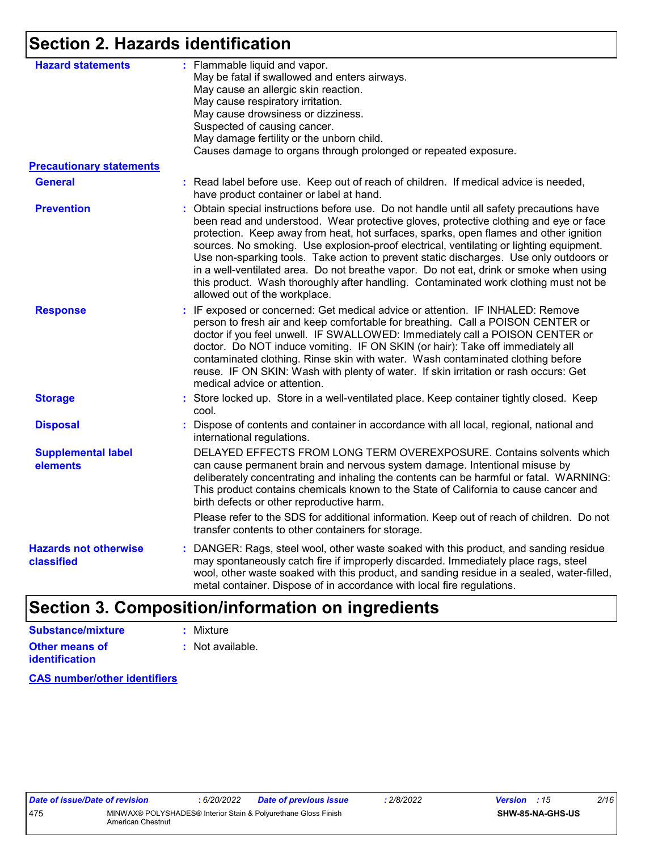## **Section 2. Hazards identification**

| <b>Hazard statements</b>                   | : Flammable liquid and vapor.                                                                                                                                                                                                                                                                                                                                                                                                                                                                                                                                                                                                                                                       |
|--------------------------------------------|-------------------------------------------------------------------------------------------------------------------------------------------------------------------------------------------------------------------------------------------------------------------------------------------------------------------------------------------------------------------------------------------------------------------------------------------------------------------------------------------------------------------------------------------------------------------------------------------------------------------------------------------------------------------------------------|
|                                            | May be fatal if swallowed and enters airways.                                                                                                                                                                                                                                                                                                                                                                                                                                                                                                                                                                                                                                       |
|                                            | May cause an allergic skin reaction.                                                                                                                                                                                                                                                                                                                                                                                                                                                                                                                                                                                                                                                |
|                                            | May cause respiratory irritation.<br>May cause drowsiness or dizziness.                                                                                                                                                                                                                                                                                                                                                                                                                                                                                                                                                                                                             |
|                                            | Suspected of causing cancer.                                                                                                                                                                                                                                                                                                                                                                                                                                                                                                                                                                                                                                                        |
|                                            | May damage fertility or the unborn child.                                                                                                                                                                                                                                                                                                                                                                                                                                                                                                                                                                                                                                           |
|                                            | Causes damage to organs through prolonged or repeated exposure.                                                                                                                                                                                                                                                                                                                                                                                                                                                                                                                                                                                                                     |
| <b>Precautionary statements</b>            |                                                                                                                                                                                                                                                                                                                                                                                                                                                                                                                                                                                                                                                                                     |
| <b>General</b>                             | : Read label before use. Keep out of reach of children. If medical advice is needed,<br>have product container or label at hand.                                                                                                                                                                                                                                                                                                                                                                                                                                                                                                                                                    |
| <b>Prevention</b>                          | : Obtain special instructions before use. Do not handle until all safety precautions have<br>been read and understood. Wear protective gloves, protective clothing and eye or face<br>protection. Keep away from heat, hot surfaces, sparks, open flames and other ignition<br>sources. No smoking. Use explosion-proof electrical, ventilating or lighting equipment.<br>Use non-sparking tools. Take action to prevent static discharges. Use only outdoors or<br>in a well-ventilated area. Do not breathe vapor. Do not eat, drink or smoke when using<br>this product. Wash thoroughly after handling. Contaminated work clothing must not be<br>allowed out of the workplace. |
| <b>Response</b>                            | : IF exposed or concerned: Get medical advice or attention. IF INHALED: Remove<br>person to fresh air and keep comfortable for breathing. Call a POISON CENTER or<br>doctor if you feel unwell. IF SWALLOWED: Immediately call a POISON CENTER or<br>doctor. Do NOT induce vomiting. IF ON SKIN (or hair): Take off immediately all<br>contaminated clothing. Rinse skin with water. Wash contaminated clothing before<br>reuse. IF ON SKIN: Wash with plenty of water. If skin irritation or rash occurs: Get<br>medical advice or attention.                                                                                                                                      |
| <b>Storage</b>                             | : Store locked up. Store in a well-ventilated place. Keep container tightly closed. Keep<br>cool.                                                                                                                                                                                                                                                                                                                                                                                                                                                                                                                                                                                   |
| <b>Disposal</b>                            | Dispose of contents and container in accordance with all local, regional, national and<br>international regulations.                                                                                                                                                                                                                                                                                                                                                                                                                                                                                                                                                                |
| <b>Supplemental label</b><br>elements      | DELAYED EFFECTS FROM LONG TERM OVEREXPOSURE. Contains solvents which<br>can cause permanent brain and nervous system damage. Intentional misuse by<br>deliberately concentrating and inhaling the contents can be harmful or fatal. WARNING:<br>This product contains chemicals known to the State of California to cause cancer and<br>birth defects or other reproductive harm.                                                                                                                                                                                                                                                                                                   |
|                                            | Please refer to the SDS for additional information. Keep out of reach of children. Do not<br>transfer contents to other containers for storage.                                                                                                                                                                                                                                                                                                                                                                                                                                                                                                                                     |
| <b>Hazards not otherwise</b><br>classified | DANGER: Rags, steel wool, other waste soaked with this product, and sanding residue<br>may spontaneously catch fire if improperly discarded. Immediately place rags, steel<br>wool, other waste soaked with this product, and sanding residue in a sealed, water-filled,<br>metal container. Dispose of in accordance with local fire regulations.                                                                                                                                                                                                                                                                                                                                  |

## **Section 3. Composition/information on ingredients**

| <b>Substance/mixture</b>                | : Mixture        |
|-----------------------------------------|------------------|
| Other means of<br><b>identification</b> | : Not available. |

**CAS number/other identifiers**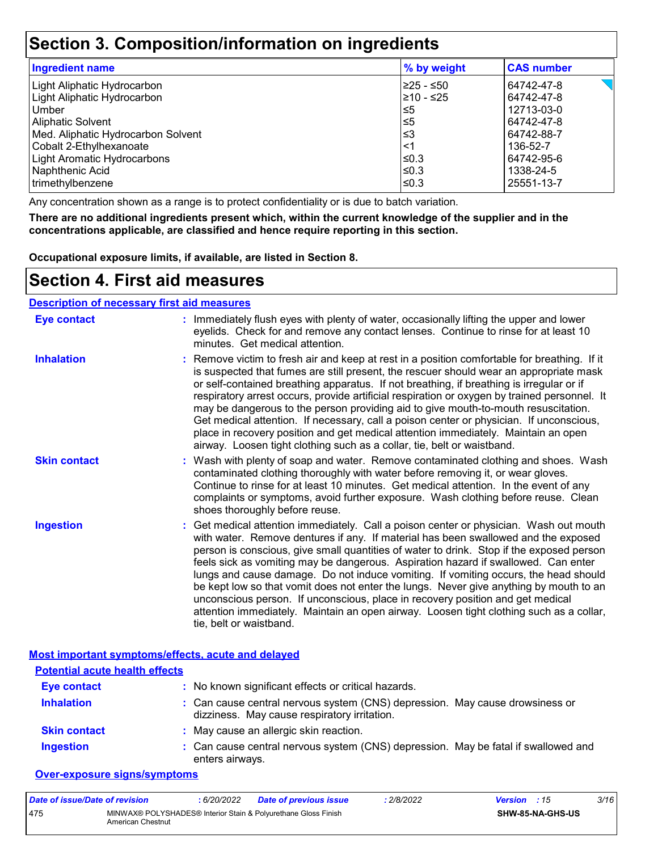### **Section 3. Composition/information on ingredients**

| <b>Ingredient name</b>             | % by weight | <b>CAS number</b> |
|------------------------------------|-------------|-------------------|
| Light Aliphatic Hydrocarbon        | 225 - ≤50   | 64742-47-8        |
| Light Aliphatic Hydrocarbon        | 210 - ≤25   | 64742-47-8        |
| Umber                              | l≤5         | 12713-03-0        |
| <b>Aliphatic Solvent</b>           | l≤5         | 64742-47-8        |
| Med. Aliphatic Hydrocarbon Solvent | ՝≤3         | 64742-88-7        |
| Cobalt 2-Ethylhexanoate            | $\leq$ 1    | 136-52-7          |
| Light Aromatic Hydrocarbons        | ≤0.3        | 64742-95-6        |
| Naphthenic Acid                    | l≤0.3       | 1338-24-5         |
| trimethylbenzene                   | l≤0.3       | 25551-13-7        |

Any concentration shown as a range is to protect confidentiality or is due to batch variation.

**There are no additional ingredients present which, within the current knowledge of the supplier and in the concentrations applicable, are classified and hence require reporting in this section.**

**Occupational exposure limits, if available, are listed in Section 8.**

### **Section 4. First aid measures**

#### **Description of necessary first aid measures**

| <b>Eye contact</b>  | : Immediately flush eyes with plenty of water, occasionally lifting the upper and lower<br>eyelids. Check for and remove any contact lenses. Continue to rinse for at least 10<br>minutes. Get medical attention.                                                                                                                                                                                                                                                                                                                                                                                                                                                                                                                                       |
|---------------------|---------------------------------------------------------------------------------------------------------------------------------------------------------------------------------------------------------------------------------------------------------------------------------------------------------------------------------------------------------------------------------------------------------------------------------------------------------------------------------------------------------------------------------------------------------------------------------------------------------------------------------------------------------------------------------------------------------------------------------------------------------|
| <b>Inhalation</b>   | : Remove victim to fresh air and keep at rest in a position comfortable for breathing. If it<br>is suspected that fumes are still present, the rescuer should wear an appropriate mask<br>or self-contained breathing apparatus. If not breathing, if breathing is irregular or if<br>respiratory arrest occurs, provide artificial respiration or oxygen by trained personnel. It<br>may be dangerous to the person providing aid to give mouth-to-mouth resuscitation.<br>Get medical attention. If necessary, call a poison center or physician. If unconscious,<br>place in recovery position and get medical attention immediately. Maintain an open<br>airway. Loosen tight clothing such as a collar, tie, belt or waistband.                    |
| <b>Skin contact</b> | : Wash with plenty of soap and water. Remove contaminated clothing and shoes. Wash<br>contaminated clothing thoroughly with water before removing it, or wear gloves.<br>Continue to rinse for at least 10 minutes. Get medical attention. In the event of any<br>complaints or symptoms, avoid further exposure. Wash clothing before reuse. Clean<br>shoes thoroughly before reuse.                                                                                                                                                                                                                                                                                                                                                                   |
| <b>Ingestion</b>    | : Get medical attention immediately. Call a poison center or physician. Wash out mouth<br>with water. Remove dentures if any. If material has been swallowed and the exposed<br>person is conscious, give small quantities of water to drink. Stop if the exposed person<br>feels sick as vomiting may be dangerous. Aspiration hazard if swallowed. Can enter<br>lungs and cause damage. Do not induce vomiting. If vomiting occurs, the head should<br>be kept low so that vomit does not enter the lungs. Never give anything by mouth to an<br>unconscious person. If unconscious, place in recovery position and get medical<br>attention immediately. Maintain an open airway. Loosen tight clothing such as a collar,<br>tie, belt or waistband. |

#### **Most important symptoms/effects, acute and delayed**

| <b>Potential acute health effects</b> |                                                                                                                              |
|---------------------------------------|------------------------------------------------------------------------------------------------------------------------------|
| <b>Eye contact</b>                    | : No known significant effects or critical hazards.                                                                          |
| <b>Inhalation</b>                     | : Can cause central nervous system (CNS) depression. May cause drowsiness or<br>dizziness. May cause respiratory irritation. |
| <b>Skin contact</b>                   | : May cause an allergic skin reaction.                                                                                       |
| <b>Ingestion</b>                      | : Can cause central nervous system (CNS) depression. May be fatal if swallowed and<br>enters airways.                        |

#### **Over-exposure signs/symptoms**

| Date of issue/Date of revision |                   | 6/20/2022 | <b>Date of previous issue</b>                                  | 2/8/2022 | <b>Version</b> : 15 |                         | 3/16 |
|--------------------------------|-------------------|-----------|----------------------------------------------------------------|----------|---------------------|-------------------------|------|
| 475                            | American Chestnut |           | MINWAX® POLYSHADES® Interior Stain & Polyurethane Gloss Finish |          |                     | <b>SHW-85-NA-GHS-US</b> |      |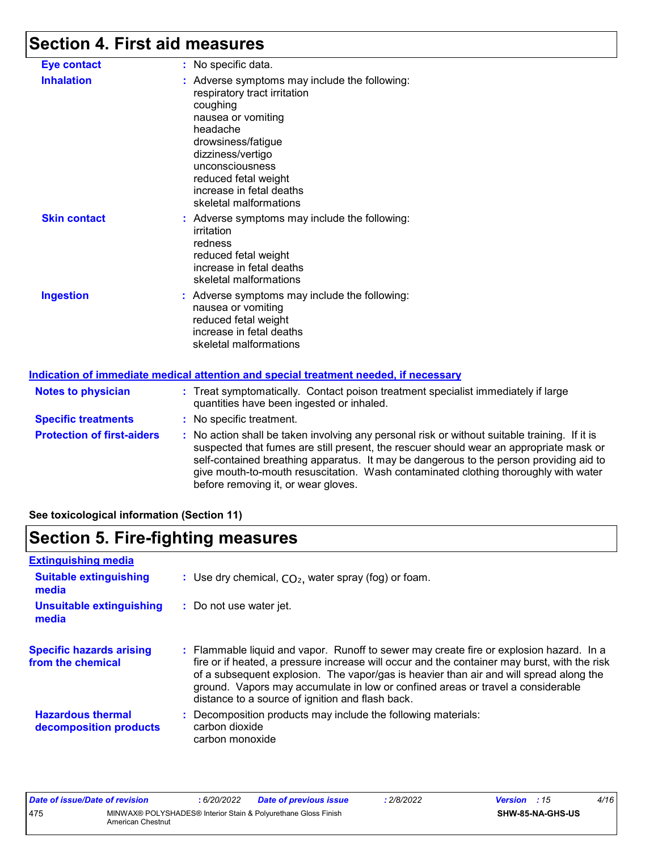## **Section 4. First aid measures**

| <b>Eye contact</b>                | : No specific data.                                                                                                                                                                                                                                                               |
|-----------------------------------|-----------------------------------------------------------------------------------------------------------------------------------------------------------------------------------------------------------------------------------------------------------------------------------|
| <b>Inhalation</b>                 | : Adverse symptoms may include the following:<br>respiratory tract irritation<br>coughing<br>nausea or vomiting<br>headache<br>drowsiness/fatigue<br>dizziness/vertigo<br>unconsciousness<br>reduced fetal weight<br>increase in fetal deaths<br>skeletal malformations           |
| <b>Skin contact</b>               | : Adverse symptoms may include the following:<br>irritation<br>redness<br>reduced fetal weight<br>increase in fetal deaths<br>skeletal malformations                                                                                                                              |
| <b>Ingestion</b>                  | : Adverse symptoms may include the following:<br>nausea or vomiting<br>reduced fetal weight<br>increase in fetal deaths<br>skeletal malformations                                                                                                                                 |
|                                   | Indication of immediate medical attention and special treatment needed, if necessary                                                                                                                                                                                              |
| <b>Notes to physician</b>         | : Treat symptomatically. Contact poison treatment specialist immediately if large<br>quantities have been ingested or inhaled.                                                                                                                                                    |
| <b>Specific treatments</b>        | : No specific treatment.                                                                                                                                                                                                                                                          |
| <b>Protection of first-aiders</b> | : No action shall be taken involving any personal risk or without suitable training. If it is<br>suspected that fumes are still present, the rescuer should wear an appropriate mask or<br>self-contained breathing apparatus. It may be dangerous to the person providing aid to |

before removing it, or wear gloves.

**See toxicological information (Section 11)**

## **Section 5. Fire-fighting measures**

| <b>Extinguishing media</b>                           |                                                                                                                                                                                                                                                                                                                                                                                                                          |
|------------------------------------------------------|--------------------------------------------------------------------------------------------------------------------------------------------------------------------------------------------------------------------------------------------------------------------------------------------------------------------------------------------------------------------------------------------------------------------------|
| <b>Suitable extinguishing</b><br>media               | : Use dry chemical, $CO2$ , water spray (fog) or foam.                                                                                                                                                                                                                                                                                                                                                                   |
| <b>Unsuitable extinguishing</b><br>media             | : Do not use water jet.                                                                                                                                                                                                                                                                                                                                                                                                  |
| <b>Specific hazards arising</b><br>from the chemical | : Flammable liquid and vapor. Runoff to sewer may create fire or explosion hazard. In a<br>fire or if heated, a pressure increase will occur and the container may burst, with the risk<br>of a subsequent explosion. The vapor/gas is heavier than air and will spread along the<br>ground. Vapors may accumulate in low or confined areas or travel a considerable<br>distance to a source of ignition and flash back. |
| <b>Hazardous thermal</b><br>decomposition products   | : Decomposition products may include the following materials:<br>carbon dioxide<br>carbon monoxide                                                                                                                                                                                                                                                                                                                       |

give mouth-to-mouth resuscitation. Wash contaminated clothing thoroughly with water

| Date of issue/Date of revision |                                                                                     | : 6/20/2022 | <b>Date of previous issue</b> | : 2/8/2022 | <b>Version</b> : 15 |                         | 4/16 |
|--------------------------------|-------------------------------------------------------------------------------------|-------------|-------------------------------|------------|---------------------|-------------------------|------|
| 475                            | MINWAX® POLYSHADES® Interior Stain & Polyurethane Gloss Finish<br>American Chestnut |             |                               |            |                     | <b>SHW-85-NA-GHS-US</b> |      |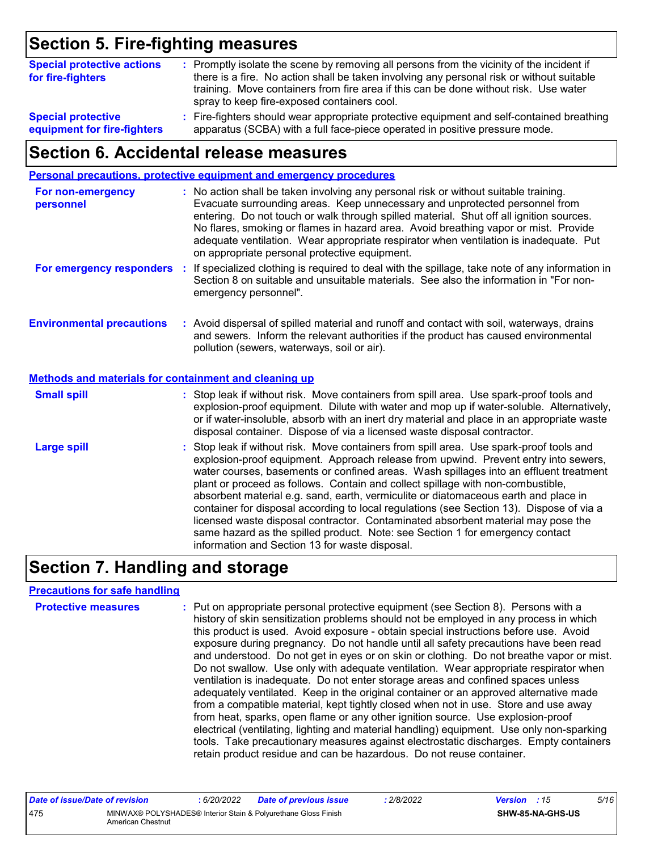## **Section 5. Fire-fighting measures**

| <b>Special protective actions</b><br>for fire-fighters | : Promptly isolate the scene by removing all persons from the vicinity of the incident if<br>there is a fire. No action shall be taken involving any personal risk or without suitable<br>training. Move containers from fire area if this can be done without risk. Use water<br>spray to keep fire-exposed containers cool. |
|--------------------------------------------------------|-------------------------------------------------------------------------------------------------------------------------------------------------------------------------------------------------------------------------------------------------------------------------------------------------------------------------------|
| <b>Special protective</b>                              | : Fire-fighters should wear appropriate protective equipment and self-contained breathing                                                                                                                                                                                                                                     |
| equipment for fire-fighters                            | apparatus (SCBA) with a full face-piece operated in positive pressure mode.                                                                                                                                                                                                                                                   |

### **Section 6. Accidental release measures**

|                                                       | Personal precautions, protective equipment and emergency procedures                                                                                                                                                                                                                                                                                                                                                                                                                                                                                                                                                                                                                                                                                                  |
|-------------------------------------------------------|----------------------------------------------------------------------------------------------------------------------------------------------------------------------------------------------------------------------------------------------------------------------------------------------------------------------------------------------------------------------------------------------------------------------------------------------------------------------------------------------------------------------------------------------------------------------------------------------------------------------------------------------------------------------------------------------------------------------------------------------------------------------|
| For non-emergency<br>personnel                        | : No action shall be taken involving any personal risk or without suitable training.<br>Evacuate surrounding areas. Keep unnecessary and unprotected personnel from<br>entering. Do not touch or walk through spilled material. Shut off all ignition sources.<br>No flares, smoking or flames in hazard area. Avoid breathing vapor or mist. Provide<br>adequate ventilation. Wear appropriate respirator when ventilation is inadequate. Put<br>on appropriate personal protective equipment.                                                                                                                                                                                                                                                                      |
| For emergency responders :                            | If specialized clothing is required to deal with the spillage, take note of any information in<br>Section 8 on suitable and unsuitable materials. See also the information in "For non-<br>emergency personnel".                                                                                                                                                                                                                                                                                                                                                                                                                                                                                                                                                     |
| <b>Environmental precautions</b>                      | : Avoid dispersal of spilled material and runoff and contact with soil, waterways, drains<br>and sewers. Inform the relevant authorities if the product has caused environmental<br>pollution (sewers, waterways, soil or air).                                                                                                                                                                                                                                                                                                                                                                                                                                                                                                                                      |
| Methods and materials for containment and cleaning up |                                                                                                                                                                                                                                                                                                                                                                                                                                                                                                                                                                                                                                                                                                                                                                      |
| <b>Small spill</b>                                    | : Stop leak if without risk. Move containers from spill area. Use spark-proof tools and<br>explosion-proof equipment. Dilute with water and mop up if water-soluble. Alternatively,<br>or if water-insoluble, absorb with an inert dry material and place in an appropriate waste<br>disposal container. Dispose of via a licensed waste disposal contractor.                                                                                                                                                                                                                                                                                                                                                                                                        |
| <b>Large spill</b>                                    | : Stop leak if without risk. Move containers from spill area. Use spark-proof tools and<br>explosion-proof equipment. Approach release from upwind. Prevent entry into sewers,<br>water courses, basements or confined areas. Wash spillages into an effluent treatment<br>plant or proceed as follows. Contain and collect spillage with non-combustible,<br>absorbent material e.g. sand, earth, vermiculite or diatomaceous earth and place in<br>container for disposal according to local regulations (see Section 13). Dispose of via a<br>licensed waste disposal contractor. Contaminated absorbent material may pose the<br>same hazard as the spilled product. Note: see Section 1 for emergency contact<br>information and Section 13 for waste disposal. |

## **Section 7. Handling and storage**

#### **Precautions for safe handling**

| <b>Protective measures</b> | : Put on appropriate personal protective equipment (see Section 8). Persons with a<br>history of skin sensitization problems should not be employed in any process in which<br>this product is used. Avoid exposure - obtain special instructions before use. Avoid<br>exposure during pregnancy. Do not handle until all safety precautions have been read<br>and understood. Do not get in eyes or on skin or clothing. Do not breathe vapor or mist.<br>Do not swallow. Use only with adequate ventilation. Wear appropriate respirator when<br>ventilation is inadequate. Do not enter storage areas and confined spaces unless<br>adequately ventilated. Keep in the original container or an approved alternative made<br>from a compatible material, kept tightly closed when not in use. Store and use away<br>from heat, sparks, open flame or any other ignition source. Use explosion-proof<br>electrical (ventilating, lighting and material handling) equipment. Use only non-sparking<br>tools. Take precautionary measures against electrostatic discharges. Empty containers |
|----------------------------|----------------------------------------------------------------------------------------------------------------------------------------------------------------------------------------------------------------------------------------------------------------------------------------------------------------------------------------------------------------------------------------------------------------------------------------------------------------------------------------------------------------------------------------------------------------------------------------------------------------------------------------------------------------------------------------------------------------------------------------------------------------------------------------------------------------------------------------------------------------------------------------------------------------------------------------------------------------------------------------------------------------------------------------------------------------------------------------------|
|                            | retain product residue and can be hazardous. Do not reuse container.                                                                                                                                                                                                                                                                                                                                                                                                                                                                                                                                                                                                                                                                                                                                                                                                                                                                                                                                                                                                                         |

| Date of issue/Date of revision |                                                                                     | 6/20/2022 | <b>Date of previous issue</b> | 2/8/2022 | <b>Version</b> : 15 |                         | 5/16 |
|--------------------------------|-------------------------------------------------------------------------------------|-----------|-------------------------------|----------|---------------------|-------------------------|------|
| 475                            | MINWAX® POLYSHADES® Interior Stain & Polyurethane Gloss Finish<br>American Chestnut |           |                               |          |                     | <b>SHW-85-NA-GHS-US</b> |      |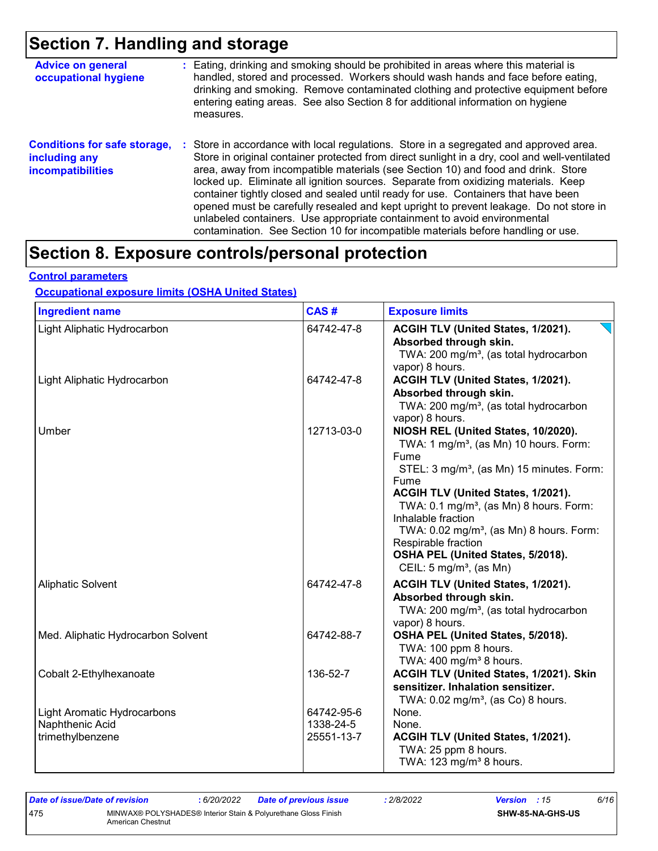## **Section 7. Handling and storage**

| <b>Advice on general</b><br>occupational hygiene                                 | : Eating, drinking and smoking should be prohibited in areas where this material is<br>handled, stored and processed. Workers should wash hands and face before eating,<br>drinking and smoking. Remove contaminated clothing and protective equipment before<br>entering eating areas. See also Section 8 for additional information on hygiene<br>measures.                                                                                                                                                                                                                                                                                                                                                      |
|----------------------------------------------------------------------------------|--------------------------------------------------------------------------------------------------------------------------------------------------------------------------------------------------------------------------------------------------------------------------------------------------------------------------------------------------------------------------------------------------------------------------------------------------------------------------------------------------------------------------------------------------------------------------------------------------------------------------------------------------------------------------------------------------------------------|
| <b>Conditions for safe storage,</b><br>including any<br><b>incompatibilities</b> | : Store in accordance with local regulations. Store in a segregated and approved area.<br>Store in original container protected from direct sunlight in a dry, cool and well-ventilated<br>area, away from incompatible materials (see Section 10) and food and drink. Store<br>locked up. Eliminate all ignition sources. Separate from oxidizing materials. Keep<br>container tightly closed and sealed until ready for use. Containers that have been<br>opened must be carefully resealed and kept upright to prevent leakage. Do not store in<br>unlabeled containers. Use appropriate containment to avoid environmental<br>contamination. See Section 10 for incompatible materials before handling or use. |

## **Section 8. Exposure controls/personal protection**

#### **Control parameters**

#### **Occupational exposure limits (OSHA United States)**

| <b>Ingredient name</b>                                                    | CAS#                                  | <b>Exposure limits</b>                                                                                                                                                                                                                                                                                                                                                                                                                          |
|---------------------------------------------------------------------------|---------------------------------------|-------------------------------------------------------------------------------------------------------------------------------------------------------------------------------------------------------------------------------------------------------------------------------------------------------------------------------------------------------------------------------------------------------------------------------------------------|
| Light Aliphatic Hydrocarbon                                               | 64742-47-8                            | ACGIH TLV (United States, 1/2021).<br>Absorbed through skin.<br>TWA: 200 mg/m <sup>3</sup> , (as total hydrocarbon<br>vapor) 8 hours.                                                                                                                                                                                                                                                                                                           |
| Light Aliphatic Hydrocarbon                                               | 64742-47-8                            | ACGIH TLV (United States, 1/2021).<br>Absorbed through skin.<br>TWA: 200 mg/m <sup>3</sup> , (as total hydrocarbon<br>vapor) 8 hours.                                                                                                                                                                                                                                                                                                           |
| Umber                                                                     | 12713-03-0                            | NIOSH REL (United States, 10/2020).<br>TWA: 1 mg/m <sup>3</sup> , (as Mn) 10 hours. Form:<br>Fume<br>STEL: 3 mg/m <sup>3</sup> , (as Mn) 15 minutes. Form:<br>Fume<br>ACGIH TLV (United States, 1/2021).<br>TWA: 0.1 mg/m <sup>3</sup> , (as Mn) 8 hours. Form:<br>Inhalable fraction<br>TWA: 0.02 mg/m <sup>3</sup> , (as Mn) 8 hours. Form:<br>Respirable fraction<br>OSHA PEL (United States, 5/2018).<br>CEIL: $5 \text{ mg/m}^3$ , (as Mn) |
| <b>Aliphatic Solvent</b>                                                  | 64742-47-8                            | ACGIH TLV (United States, 1/2021).<br>Absorbed through skin.<br>TWA: 200 mg/m <sup>3</sup> , (as total hydrocarbon<br>vapor) 8 hours.                                                                                                                                                                                                                                                                                                           |
| Med. Aliphatic Hydrocarbon Solvent                                        | 64742-88-7                            | OSHA PEL (United States, 5/2018).<br>TWA: 100 ppm 8 hours.<br>TWA: $400 \text{ mg/m}^3$ 8 hours.                                                                                                                                                                                                                                                                                                                                                |
| Cobalt 2-Ethylhexanoate                                                   | 136-52-7                              | ACGIH TLV (United States, 1/2021). Skin<br>sensitizer. Inhalation sensitizer.<br>TWA: $0.02$ mg/m <sup>3</sup> , (as Co) 8 hours.                                                                                                                                                                                                                                                                                                               |
| <b>Light Aromatic Hydrocarbons</b><br>Naphthenic Acid<br>trimethylbenzene | 64742-95-6<br>1338-24-5<br>25551-13-7 | None.<br>None.<br>ACGIH TLV (United States, 1/2021).<br>TWA: 25 ppm 8 hours.<br>TWA: 123 mg/m <sup>3</sup> 8 hours.                                                                                                                                                                                                                                                                                                                             |

| Date of issue/Date of revision |                                                                                     | : 6/20/2022 | <b>Date of previous issue</b> | 2/8/2022 | <b>Version</b> : 15 |                  | 6/16 |
|--------------------------------|-------------------------------------------------------------------------------------|-------------|-------------------------------|----------|---------------------|------------------|------|
| 475                            | MINWAX® POLYSHADES® Interior Stain & Polyurethane Gloss Finish<br>American Chestnut |             |                               |          |                     | SHW-85-NA-GHS-US |      |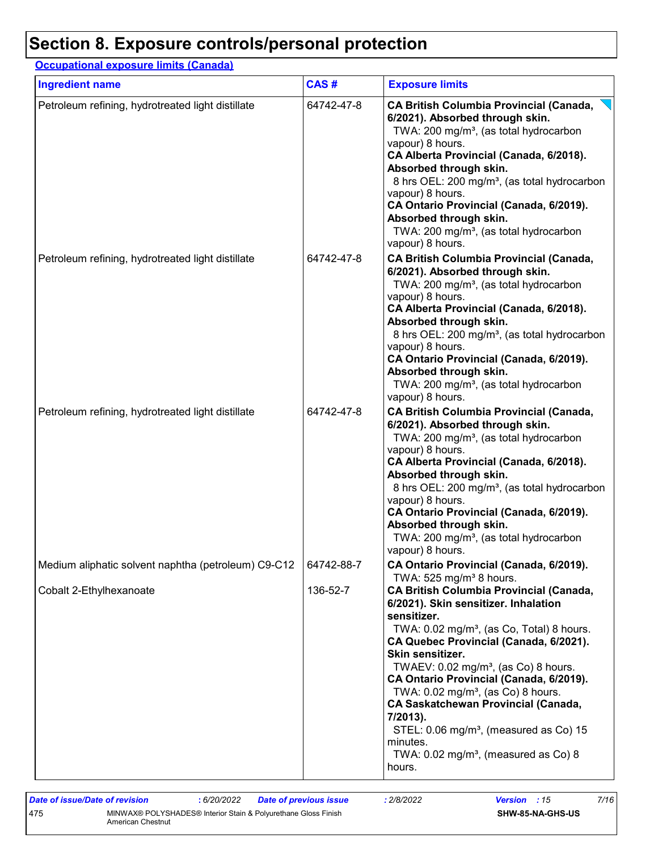## **Section 8. Exposure controls/personal protection**

### **Occupational exposure limits (Canada)**

| <b>Ingredient name</b>                              | CAS#       | <b>Exposure limits</b>                                                                                                                                                                                                                                                                                                                                                                                                                                                                                                                                                                                             |
|-----------------------------------------------------|------------|--------------------------------------------------------------------------------------------------------------------------------------------------------------------------------------------------------------------------------------------------------------------------------------------------------------------------------------------------------------------------------------------------------------------------------------------------------------------------------------------------------------------------------------------------------------------------------------------------------------------|
| Petroleum refining, hydrotreated light distillate   | 64742-47-8 | <b>CA British Columbia Provincial (Canada,</b><br>6/2021). Absorbed through skin.<br>TWA: 200 mg/m <sup>3</sup> , (as total hydrocarbon<br>vapour) 8 hours.<br>CA Alberta Provincial (Canada, 6/2018).<br>Absorbed through skin.<br>8 hrs OEL: 200 mg/m <sup>3</sup> , (as total hydrocarbon<br>vapour) 8 hours.<br>CA Ontario Provincial (Canada, 6/2019).<br>Absorbed through skin.<br>TWA: 200 mg/m <sup>3</sup> , (as total hydrocarbon<br>vapour) 8 hours.                                                                                                                                                    |
| Petroleum refining, hydrotreated light distillate   | 64742-47-8 | <b>CA British Columbia Provincial (Canada,</b><br>6/2021). Absorbed through skin.<br>TWA: 200 mg/m <sup>3</sup> , (as total hydrocarbon<br>vapour) 8 hours.<br>CA Alberta Provincial (Canada, 6/2018).<br>Absorbed through skin.<br>8 hrs OEL: 200 mg/m <sup>3</sup> , (as total hydrocarbon<br>vapour) 8 hours.<br>CA Ontario Provincial (Canada, 6/2019).<br>Absorbed through skin.<br>TWA: 200 mg/m <sup>3</sup> , (as total hydrocarbon<br>vapour) 8 hours.                                                                                                                                                    |
| Petroleum refining, hydrotreated light distillate   | 64742-47-8 | CA British Columbia Provincial (Canada,<br>6/2021). Absorbed through skin.<br>TWA: 200 mg/m <sup>3</sup> , (as total hydrocarbon<br>vapour) 8 hours.<br>CA Alberta Provincial (Canada, 6/2018).<br>Absorbed through skin.<br>8 hrs OEL: 200 mg/m <sup>3</sup> , (as total hydrocarbon<br>vapour) 8 hours.<br>CA Ontario Provincial (Canada, 6/2019).<br>Absorbed through skin.<br>TWA: 200 mg/m <sup>3</sup> , (as total hydrocarbon<br>vapour) 8 hours.                                                                                                                                                           |
| Medium aliphatic solvent naphtha (petroleum) C9-C12 | 64742-88-7 | CA Ontario Provincial (Canada, 6/2019).                                                                                                                                                                                                                                                                                                                                                                                                                                                                                                                                                                            |
| Cobalt 2-Ethylhexanoate                             | 136-52-7   | TWA: 525 mg/m <sup>3</sup> 8 hours.<br><b>CA British Columbia Provincial (Canada,</b><br>6/2021). Skin sensitizer. Inhalation<br>sensitizer.<br>TWA: 0.02 mg/m <sup>3</sup> , (as Co, Total) 8 hours.<br>CA Quebec Provincial (Canada, 6/2021).<br>Skin sensitizer.<br>TWAEV: 0.02 mg/m <sup>3</sup> , (as Co) 8 hours.<br>CA Ontario Provincial (Canada, 6/2019).<br>TWA: $0.02$ mg/m <sup>3</sup> , (as Co) 8 hours.<br><b>CA Saskatchewan Provincial (Canada,</b><br>7/2013).<br>STEL: 0.06 mg/m <sup>3</sup> , (measured as Co) 15<br>minutes.<br>TWA: $0.02$ mg/m <sup>3</sup> , (measured as Co) 8<br>hours. |

| Date of issue/Date of revision |                                                                                     | : 6/20/2022 | <b>Date of previous issue</b> | 2/8/2022 | <b>Version</b> : 15 |                         | 7/16 |
|--------------------------------|-------------------------------------------------------------------------------------|-------------|-------------------------------|----------|---------------------|-------------------------|------|
| 475                            | MINWAX® POLYSHADES® Interior Stain & Polyurethane Gloss Finish<br>American Chestnut |             |                               |          |                     | <b>SHW-85-NA-GHS-US</b> |      |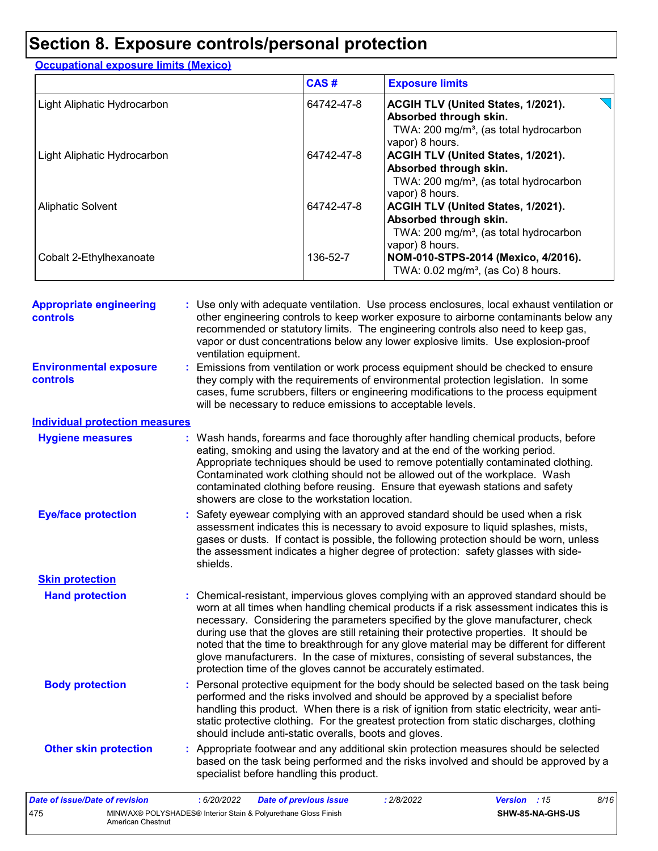## **Section 8. Exposure controls/personal protection**

| <b>Occupational exposure limits (Mexico)</b> |            |                                                                                                                                       |  |  |  |  |  |
|----------------------------------------------|------------|---------------------------------------------------------------------------------------------------------------------------------------|--|--|--|--|--|
|                                              | CAS#       | <b>Exposure limits</b>                                                                                                                |  |  |  |  |  |
| Light Aliphatic Hydrocarbon                  | 64742-47-8 | ACGIH TLV (United States, 1/2021).<br>Absorbed through skin.<br>TWA: 200 mg/m <sup>3</sup> , (as total hydrocarbon<br>vapor) 8 hours. |  |  |  |  |  |
| Light Aliphatic Hydrocarbon                  | 64742-47-8 | ACGIH TLV (United States, 1/2021).<br>Absorbed through skin.<br>TWA: 200 mg/m <sup>3</sup> , (as total hydrocarbon<br>vapor) 8 hours. |  |  |  |  |  |
| <b>Aliphatic Solvent</b>                     | 64742-47-8 | ACGIH TLV (United States, 1/2021).<br>Absorbed through skin.<br>TWA: 200 mg/m <sup>3</sup> , (as total hydrocarbon<br>vapor) 8 hours. |  |  |  |  |  |
| Cobalt 2-Ethylhexanoate                      | 136-52-7   | NOM-010-STPS-2014 (Mexico, 4/2016).<br>TWA: $0.02$ mg/m <sup>3</sup> , (as Co) 8 hours.                                               |  |  |  |  |  |

| <b>Appropriate engineering</b><br>controls       | : Use only with adequate ventilation. Use process enclosures, local exhaust ventilation or<br>other engineering controls to keep worker exposure to airborne contaminants below any<br>recommended or statutory limits. The engineering controls also need to keep gas,<br>vapor or dust concentrations below any lower explosive limits. Use explosion-proof<br>ventilation equipment.                                                                                                                                                                                                                                |
|--------------------------------------------------|------------------------------------------------------------------------------------------------------------------------------------------------------------------------------------------------------------------------------------------------------------------------------------------------------------------------------------------------------------------------------------------------------------------------------------------------------------------------------------------------------------------------------------------------------------------------------------------------------------------------|
| <b>Environmental exposure</b><br><b>controls</b> | : Emissions from ventilation or work process equipment should be checked to ensure<br>they comply with the requirements of environmental protection legislation. In some<br>cases, fume scrubbers, filters or engineering modifications to the process equipment<br>will be necessary to reduce emissions to acceptable levels.                                                                                                                                                                                                                                                                                        |
| <b>Individual protection measures</b>            |                                                                                                                                                                                                                                                                                                                                                                                                                                                                                                                                                                                                                        |
| <b>Hygiene measures</b>                          | : Wash hands, forearms and face thoroughly after handling chemical products, before<br>eating, smoking and using the lavatory and at the end of the working period.<br>Appropriate techniques should be used to remove potentially contaminated clothing.<br>Contaminated work clothing should not be allowed out of the workplace. Wash<br>contaminated clothing before reusing. Ensure that eyewash stations and safety<br>showers are close to the workstation location.                                                                                                                                            |
| <b>Eye/face protection</b>                       | : Safety eyewear complying with an approved standard should be used when a risk<br>assessment indicates this is necessary to avoid exposure to liquid splashes, mists,<br>gases or dusts. If contact is possible, the following protection should be worn, unless<br>the assessment indicates a higher degree of protection: safety glasses with side-<br>shields.                                                                                                                                                                                                                                                     |
| <b>Skin protection</b>                           |                                                                                                                                                                                                                                                                                                                                                                                                                                                                                                                                                                                                                        |
| <b>Hand protection</b>                           | : Chemical-resistant, impervious gloves complying with an approved standard should be<br>worn at all times when handling chemical products if a risk assessment indicates this is<br>necessary. Considering the parameters specified by the glove manufacturer, check<br>during use that the gloves are still retaining their protective properties. It should be<br>noted that the time to breakthrough for any glove material may be different for different<br>glove manufacturers. In the case of mixtures, consisting of several substances, the<br>protection time of the gloves cannot be accurately estimated. |
| <b>Body protection</b>                           | : Personal protective equipment for the body should be selected based on the task being<br>performed and the risks involved and should be approved by a specialist before<br>handling this product. When there is a risk of ignition from static electricity, wear anti-<br>static protective clothing. For the greatest protection from static discharges, clothing<br>should include anti-static overalls, boots and gloves.                                                                                                                                                                                         |
| <b>Other skin protection</b>                     | : Appropriate footwear and any additional skin protection measures should be selected<br>based on the task being performed and the risks involved and should be approved by a<br>specialist before handling this product.                                                                                                                                                                                                                                                                                                                                                                                              |
| <b>Date of issue/Date of revision</b>            | 8/16<br>:6/20/2022<br>: 2/8/2022<br><b>Version</b><br><b>Date of previous issue</b><br>:15                                                                                                                                                                                                                                                                                                                                                                                                                                                                                                                             |

| <u>Date of Issue/Date of revision</u> |                   | 6/20/2022 | Date of previous issue                                         | 2/8/2022 | <b>Version</b> : 15 |                         |
|---------------------------------------|-------------------|-----------|----------------------------------------------------------------|----------|---------------------|-------------------------|
| 475                                   | American Chestnut |           | MINWAX® POLYSHADES® Interior Stain & Polyurethane Gloss Finish |          |                     | <b>SHW-85-NA-GHS-US</b> |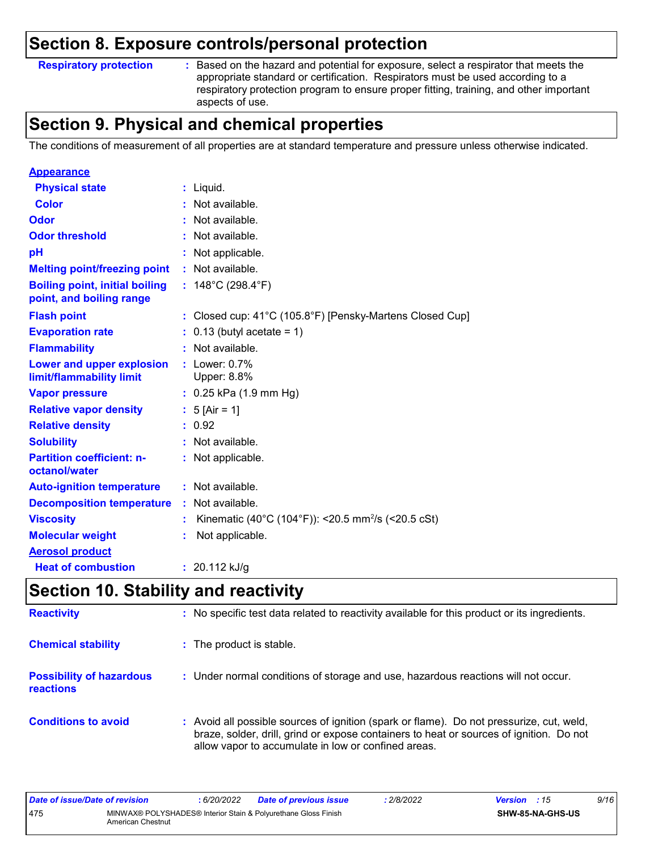### **Section 8. Exposure controls/personal protection**

**Respiratory protection :**

Based on the hazard and potential for exposure, select a respirator that meets the appropriate standard or certification. Respirators must be used according to a respiratory protection program to ensure proper fitting, training, and other important aspects of use.

## **Section 9. Physical and chemical properties**

The conditions of measurement of all properties are at standard temperature and pressure unless otherwise indicated.

| <b>Appearance</b>                                                 |                                                                |
|-------------------------------------------------------------------|----------------------------------------------------------------|
| <b>Physical state</b>                                             | : Liquid.                                                      |
| Color                                                             | Not available.                                                 |
| Odor                                                              | Not available.                                                 |
| <b>Odor threshold</b>                                             | Not available.                                                 |
| рH                                                                | : Not applicable.                                              |
| <b>Melting point/freezing point</b>                               | : Not available.                                               |
| <b>Boiling point, initial boiling</b><br>point, and boiling range | : $148^{\circ}$ C (298.4 $^{\circ}$ F)                         |
| <b>Flash point</b>                                                | : Closed cup: 41°C (105.8°F) [Pensky-Martens Closed Cup]       |
| <b>Evaporation rate</b>                                           | $: 0.13$ (butyl acetate = 1)                                   |
| <b>Flammability</b>                                               | : Not available.                                               |
| Lower and upper explosion<br>limit/flammability limit             | $:$ Lower: $0.7\%$<br>Upper: 8.8%                              |
| <b>Vapor pressure</b>                                             | $: 0.25$ kPa (1.9 mm Hg)                                       |
| <b>Relative vapor density</b>                                     | : $5$ [Air = 1]                                                |
| <b>Relative density</b>                                           | : 0.92                                                         |
| <b>Solubility</b>                                                 | $:$ Not available.                                             |
| <b>Partition coefficient: n-</b><br>octanol/water                 | : Not applicable.                                              |
| <b>Auto-ignition temperature</b>                                  | : Not available.                                               |
| <b>Decomposition temperature</b>                                  | Not available.                                                 |
| <b>Viscosity</b>                                                  | Kinematic (40°C (104°F)): <20.5 mm <sup>2</sup> /s (<20.5 cSt) |
| <b>Molecular weight</b>                                           | Not applicable.                                                |
| <b>Aerosol product</b>                                            |                                                                |
| <b>Heat of combustion</b>                                         | : $20.112$ kJ/g                                                |

## **Section 10. Stability and reactivity**

| <b>Reactivity</b>                            | : No specific test data related to reactivity available for this product or its ingredients.                                                                                                                                               |
|----------------------------------------------|--------------------------------------------------------------------------------------------------------------------------------------------------------------------------------------------------------------------------------------------|
| <b>Chemical stability</b>                    | : The product is stable.                                                                                                                                                                                                                   |
| <b>Possibility of hazardous</b><br>reactions | : Under normal conditions of storage and use, hazardous reactions will not occur.                                                                                                                                                          |
| <b>Conditions to avoid</b>                   | : Avoid all possible sources of ignition (spark or flame). Do not pressurize, cut, weld,<br>braze, solder, drill, grind or expose containers to heat or sources of ignition. Do not<br>allow vapor to accumulate in low or confined areas. |

| Date of issue/Date of revision |                                                                                     | 6/20/2022 | <b>Date of previous issue</b> | 2/8/2022 | <b>Version</b> : 15     |  | 9/16 |
|--------------------------------|-------------------------------------------------------------------------------------|-----------|-------------------------------|----------|-------------------------|--|------|
| 475                            | MINWAX® POLYSHADES® Interior Stain & Polyurethane Gloss Finish<br>American Chestnut |           |                               |          | <b>SHW-85-NA-GHS-US</b> |  |      |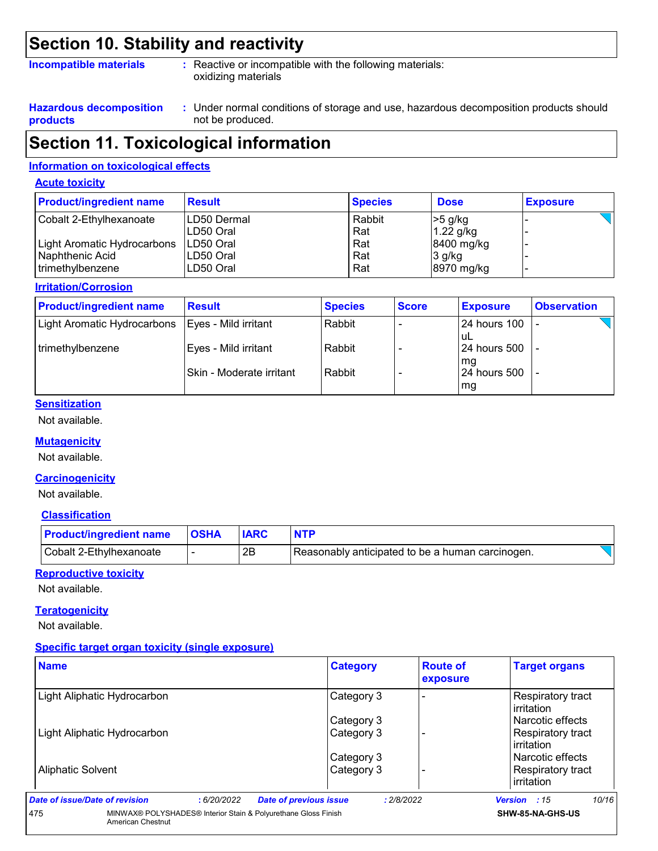### **Section 10. Stability and reactivity**

#### **Incompatible materials :**

: Reactive or incompatible with the following materials: oxidizing materials

**Hazardous decomposition products**

Under normal conditions of storage and use, hazardous decomposition products should **:** not be produced.

### **Section 11. Toxicological information**

#### **Information on toxicological effects**

#### **Acute toxicity**

| <b>Product/ingredient name</b> | <b>Result</b> | <b>Species</b> | <b>Dose</b>  | <b>Exposure</b> |
|--------------------------------|---------------|----------------|--------------|-----------------|
| Cobalt 2-Ethylhexanoate        | LD50 Dermal   | Rabbit         | $>5$ g/kg    |                 |
|                                | LD50 Oral     | Rat            | $1.22$ g/kg  |                 |
| Light Aromatic Hydrocarbons    | ILD50 Oral    | Rat            | $8400$ mg/kg |                 |
| Naphthenic Acid                | LD50 Oral     | Rat            | $3$ g/kg     |                 |
| trimethylbenzene               | LD50 Oral     | Rat            | 8970 mg/kg   |                 |

#### **Irritation/Corrosion**

| <b>Product/ingredient name</b> | <b>Result</b>            | <b>Species</b> | <b>Score</b> | <b>Exposure</b>           | <b>Observation</b> |
|--------------------------------|--------------------------|----------------|--------------|---------------------------|--------------------|
| Light Aromatic Hydrocarbons    | Eyes - Mild irritant     | Rabbit         |              | 124 hours 100<br>uL       |                    |
| trimethylbenzene               | Eyes - Mild irritant     | Rabbit         |              | l 24 hours 500<br>mq      |                    |
|                                | Skin - Moderate irritant | Rabbit         |              | <b>24 hours 500</b><br>mg |                    |

#### **Sensitization**

Not available.

#### **Mutagenicity**

Not available.

#### **Carcinogenicity**

Not available.

#### **Classification**

| <b>Product/ingredient name</b> | <b>OSHA</b> |    |                                                  |
|--------------------------------|-------------|----|--------------------------------------------------|
| Cobalt 2-Ethylhexanoate        |             | 2B | Reasonably anticipated to be a human carcinogen. |

#### **Reproductive toxicity**

Not available.

#### **Teratogenicity**

Not available.

#### **Specific target organ toxicity (single exposure)**

| <b>Name</b>                    | <b>Category</b>                                                | <b>Route of</b><br>exposure | <b>Target organs</b>                   |
|--------------------------------|----------------------------------------------------------------|-----------------------------|----------------------------------------|
| Light Aliphatic Hydrocarbon    | Category 3                                                     |                             | <b>Respiratory tract</b><br>irritation |
|                                | Category 3                                                     |                             | l Narcotic effects                     |
| Light Aliphatic Hydrocarbon    | Category 3                                                     |                             | <b>Respiratory tract</b><br>irritation |
|                                | Category 3                                                     |                             | l Narcotic effects                     |
| <b>Aliphatic Solvent</b>       | Category 3                                                     |                             | Respiratory tract<br>irritation        |
| Date of issue/Date of revision | <b>Date of previous issue</b><br>:6/20/2022                    | : 2/8/2022                  | 10/16<br>Version : 15                  |
| 475<br>American Chestnut       | MINWAX® POLYSHADES® Interior Stain & Polyurethane Gloss Finish |                             | SHW-85-NA-GHS-US                       |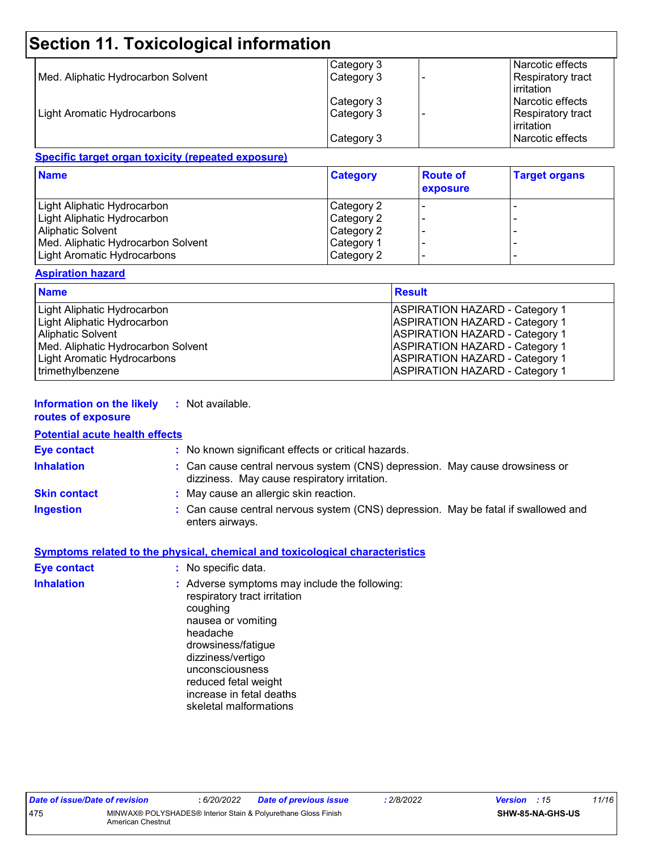## **Section 11. Toxicological information**

|                                    | Category 3 | Narcotic effects                |
|------------------------------------|------------|---------------------------------|
| Med. Aliphatic Hydrocarbon Solvent | Category 3 | Respiratory tract               |
|                                    |            | <b>lirritation</b>              |
|                                    | Category 3 | Narcotic effects                |
| Light Aromatic Hydrocarbons        | Category 3 | Respiratory tract<br>irritation |
|                                    | Category 3 | Narcotic effects                |

#### **Specific target organ toxicity (repeated exposure)**

| <b>Name</b>                        | <b>Category</b> | <b>Route of</b><br>exposure | <b>Target organs</b>     |
|------------------------------------|-----------------|-----------------------------|--------------------------|
| Light Aliphatic Hydrocarbon        | Category 2      |                             |                          |
| Light Aliphatic Hydrocarbon        | Category 2      |                             | -                        |
| <b>Aliphatic Solvent</b>           | Category 2      |                             | -                        |
| Med. Aliphatic Hydrocarbon Solvent | Category 1      |                             |                          |
| Light Aromatic Hydrocarbons        | Category 2      |                             | $\overline{\phantom{0}}$ |

#### **Aspiration hazard**

| <b>Name</b>                        | <b>Result</b>                         |
|------------------------------------|---------------------------------------|
| Light Aliphatic Hydrocarbon        | <b>ASPIRATION HAZARD - Category 1</b> |
| Light Aliphatic Hydrocarbon        | <b>ASPIRATION HAZARD - Category 1</b> |
| <b>Aliphatic Solvent</b>           | <b>ASPIRATION HAZARD - Category 1</b> |
| Med. Aliphatic Hydrocarbon Solvent | <b>ASPIRATION HAZARD - Category 1</b> |
| Light Aromatic Hydrocarbons        | <b>ASPIRATION HAZARD - Category 1</b> |
| trimethylbenzene                   | <b>ASPIRATION HAZARD - Category 1</b> |

#### **Information on the likely routes of exposure :** Not available.

| <b>Potential acute health effects</b> |                                                                                                                              |
|---------------------------------------|------------------------------------------------------------------------------------------------------------------------------|
| Eye contact                           | : No known significant effects or critical hazards.                                                                          |
| <b>Inhalation</b>                     | : Can cause central nervous system (CNS) depression. May cause drowsiness or<br>dizziness. May cause respiratory irritation. |
| <b>Skin contact</b>                   | : May cause an allergic skin reaction.                                                                                       |
| Ingestion                             | : Can cause central nervous system (CNS) depression. May be fatal if swallowed and<br>enters airways.                        |
|                                       |                                                                                                                              |

|                    | <b>Symptoms related to the physical, chemical and toxicological characteristics</b>                                                                                                                                                                                     |
|--------------------|-------------------------------------------------------------------------------------------------------------------------------------------------------------------------------------------------------------------------------------------------------------------------|
| <b>Eye contact</b> | : No specific data.                                                                                                                                                                                                                                                     |
| <b>Inhalation</b>  | : Adverse symptoms may include the following:<br>respiratory tract irritation<br>coughing<br>nausea or vomiting<br>headache<br>drowsiness/fatigue<br>dizziness/vertigo<br>unconsciousness<br>reduced fetal weight<br>increase in fetal deaths<br>skeletal malformations |
|                    |                                                                                                                                                                                                                                                                         |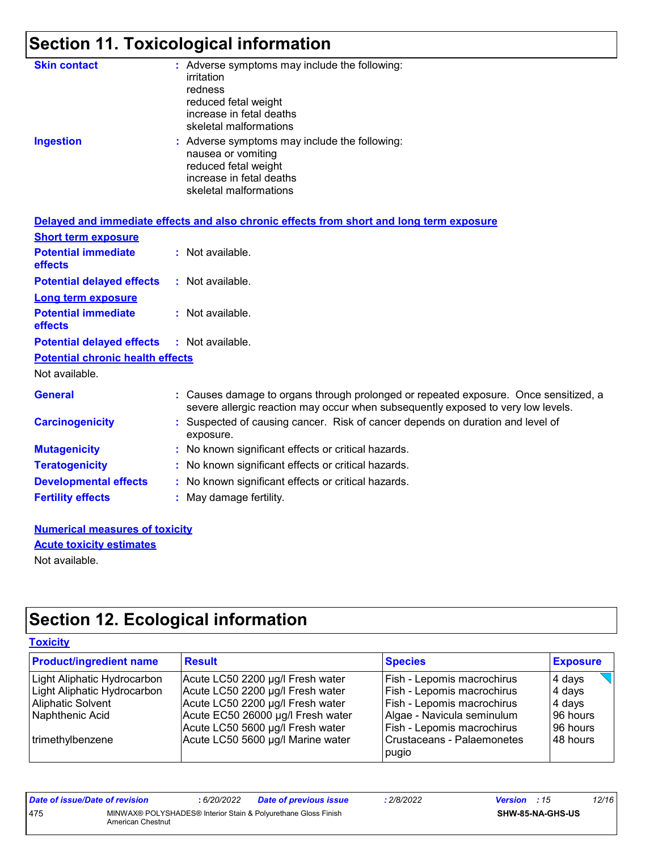## **Section 11. Toxicological information**

| <b>Skin contact</b> | : Adverse symptoms may include the following:<br>irritation<br>redness<br>reduced fetal weight<br>increase in fetal deaths<br>skeletal malformations |
|---------------------|------------------------------------------------------------------------------------------------------------------------------------------------------|
| <b>Ingestion</b>    | : Adverse symptoms may include the following:<br>nausea or vomiting<br>reduced fetal weight<br>increase in fetal deaths<br>skeletal malformations    |

|                                                   | Delayed and immediate effects and also chronic effects from short and long term exposure                                                                               |
|---------------------------------------------------|------------------------------------------------------------------------------------------------------------------------------------------------------------------------|
| <b>Short term exposure</b>                        |                                                                                                                                                                        |
| <b>Potential immediate</b><br><b>effects</b>      | : Not available.                                                                                                                                                       |
| <b>Potential delayed effects</b>                  | : Not available.                                                                                                                                                       |
| <b>Long term exposure</b>                         |                                                                                                                                                                        |
| <b>Potential immediate</b><br><b>effects</b>      | : Not available.                                                                                                                                                       |
| <b>Potential delayed effects : Not available.</b> |                                                                                                                                                                        |
| <b>Potential chronic health effects</b>           |                                                                                                                                                                        |
| Not available.                                    |                                                                                                                                                                        |
| <b>General</b>                                    | Causes damage to organs through prolonged or repeated exposure. Once sensitized, a<br>severe allergic reaction may occur when subsequently exposed to very low levels. |
| <b>Carcinogenicity</b>                            | : Suspected of causing cancer. Risk of cancer depends on duration and level of<br>exposure.                                                                            |
| <b>Mutagenicity</b>                               | : No known significant effects or critical hazards.                                                                                                                    |
| <b>Teratogenicity</b>                             | : No known significant effects or critical hazards.                                                                                                                    |
| <b>Developmental effects</b>                      | : No known significant effects or critical hazards.                                                                                                                    |
| <b>Fertility effects</b>                          | : May damage fertility.                                                                                                                                                |

#### **Numerical measures of toxicity** Not available. **Acute toxicity estimates**

## **Section 12. Ecological information**

#### **Toxicity**

| <b>Product/ingredient name</b> | <b>Result</b>                     | <b>Species</b>                      | <b>Exposure</b> |
|--------------------------------|-----------------------------------|-------------------------------------|-----------------|
| Light Aliphatic Hydrocarbon    | Acute LC50 2200 µg/l Fresh water  | Fish - Lepomis macrochirus          | 4 days          |
| Light Aliphatic Hydrocarbon    | Acute LC50 2200 µg/l Fresh water  | Fish - Lepomis macrochirus          | 4 days          |
| Aliphatic Solvent              | Acute LC50 2200 µg/l Fresh water  | Fish - Lepomis macrochirus          | 4 days          |
| Naphthenic Acid                | Acute EC50 26000 µg/l Fresh water | Algae - Navicula seminulum          | 96 hours        |
|                                | Acute LC50 5600 µg/l Fresh water  | Fish - Lepomis macrochirus          | 96 hours        |
| trimethylbenzene               | Acute LC50 5600 µg/l Marine water | Crustaceans - Palaemonetes<br>pugio | 48 hours        |

| Date of issue/Date of revision |                   | 6/20/2022 | <b>Date of previous issue</b>                                  | 2/8/2022 | <b>Version</b> : 15 |                         | 12/16 |
|--------------------------------|-------------------|-----------|----------------------------------------------------------------|----------|---------------------|-------------------------|-------|
| 475                            | American Chestnut |           | MINWAX® POLYSHADES® Interior Stain & Polyurethane Gloss Finish |          |                     | <b>SHW-85-NA-GHS-US</b> |       |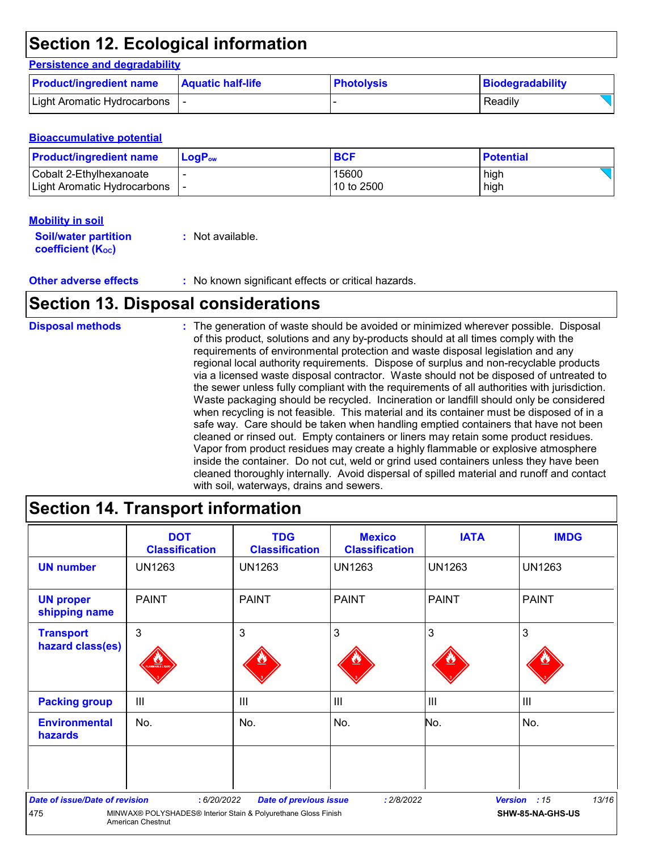## **Section 12. Ecological information**

#### **Persistence and degradability**

| <b>Product/ingredient name</b> | <b>Aquatic half-life</b> | <b>Photolysis</b> | Biodegradability |  |
|--------------------------------|--------------------------|-------------------|------------------|--|
| Light Aromatic Hydrocarbons    |                          |                   | Readily          |  |

#### **Bioaccumulative potential**

| <b>Product/ingredient name</b> | $LoaPow$ | <b>BCF</b> | <b>Potential</b> |
|--------------------------------|----------|------------|------------------|
| Cobalt 2-Ethylhexanoate        |          | 15600      | high             |
| Light Aromatic Hydrocarbons    |          | 10 to 2500 | high             |

#### **Mobility in soil**

| <b>Soil/water partition</b> | : Not available. |
|-----------------------------|------------------|
| <b>coefficient (Koc)</b>    |                  |

### **Section 13. Disposal considerations**

The generation of waste should be avoided or minimized wherever possible. Disposal of this product, solutions and any by-products should at all times comply with the requirements of environmental protection and waste disposal legislation and any regional local authority requirements. Dispose of surplus and non-recyclable products via a licensed waste disposal contractor. Waste should not be disposed of untreated to the sewer unless fully compliant with the requirements of all authorities with jurisdiction. Waste packaging should be recycled. Incineration or landfill should only be considered when recycling is not feasible. This material and its container must be disposed of in a safe way. Care should be taken when handling emptied containers that have not been cleaned or rinsed out. Empty containers or liners may retain some product residues. Vapor from product residues may create a highly flammable or explosive atmosphere inside the container. Do not cut, weld or grind used containers unless they have been cleaned thoroughly internally. Avoid dispersal of spilled material and runoff and contact with soil, waterways, drains and sewers. **Disposal methods :**

### **Section 14. Transport information**

|                                        | <b>DOT</b><br><b>Classification</b>                                                        | <b>TDG</b><br><b>Classification</b> | <b>Mexico</b><br><b>Classification</b> | <b>IATA</b>    | <b>IMDG</b>           |
|----------------------------------------|--------------------------------------------------------------------------------------------|-------------------------------------|----------------------------------------|----------------|-----------------------|
| <b>UN number</b>                       | <b>UN1263</b>                                                                              | <b>UN1263</b>                       | <b>UN1263</b>                          | <b>UN1263</b>  | <b>UN1263</b>         |
| <b>UN proper</b><br>shipping name      | <b>PAINT</b>                                                                               | <b>PAINT</b>                        | <b>PAINT</b>                           | <b>PAINT</b>   | <b>PAINT</b>          |
| <b>Transport</b>                       | $\mathbf{3}$                                                                               | 3                                   | 3                                      | 3              | 3                     |
| hazard class(es)                       |                                                                                            |                                     |                                        |                |                       |
| <b>Packing group</b>                   | $\mathbf{III}$                                                                             | $\mathbf{III}$                      | III                                    | $\mathsf{III}$ | $\mathbf{III}$        |
| <b>Environmental</b><br><b>hazards</b> | No.                                                                                        | No.                                 | No.                                    | No.            | No.                   |
|                                        |                                                                                            |                                     |                                        |                |                       |
| <b>Date of issue/Date of revision</b>  | : 6/20/2022                                                                                | <b>Date of previous issue</b>       | : 2/8/2022                             |                | 13/16<br>Version : 15 |
| 475                                    | MINWAX® POLYSHADES® Interior Stain & Polyurethane Gloss Finish<br><b>American Chestnut</b> |                                     |                                        |                | SHW-85-NA-GHS-US      |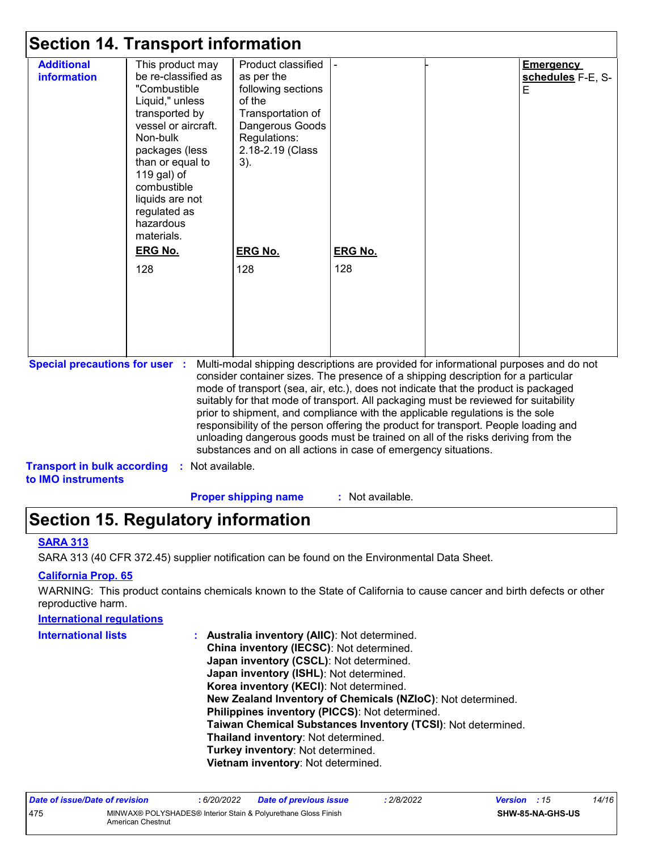| <b>Section 14. Transport information</b>                                                                                                                                                                                                                                                                                                                                                                                                                                                                                                                                                                                                                                                                                     |                                                                                                                                                                                                                                                                   |                                                                                                                                                     |         |  |                                            |
|------------------------------------------------------------------------------------------------------------------------------------------------------------------------------------------------------------------------------------------------------------------------------------------------------------------------------------------------------------------------------------------------------------------------------------------------------------------------------------------------------------------------------------------------------------------------------------------------------------------------------------------------------------------------------------------------------------------------------|-------------------------------------------------------------------------------------------------------------------------------------------------------------------------------------------------------------------------------------------------------------------|-----------------------------------------------------------------------------------------------------------------------------------------------------|---------|--|--------------------------------------------|
| <b>Additional</b><br><b>information</b>                                                                                                                                                                                                                                                                                                                                                                                                                                                                                                                                                                                                                                                                                      | This product may<br>be re-classified as<br>"Combustible<br>Liquid," unless<br>transported by<br>vessel or aircraft.<br>Non-bulk<br>packages (less<br>than or equal to<br>119 gal) of<br>combustible<br>liquids are not<br>regulated as<br>hazardous<br>materials. | Product classified<br>as per the<br>following sections<br>of the<br>Transportation of<br>Dangerous Goods<br>Regulations:<br>2.18-2.19 (Class<br>3). |         |  | <b>Emergency</b><br>schedules F-E, S-<br>E |
|                                                                                                                                                                                                                                                                                                                                                                                                                                                                                                                                                                                                                                                                                                                              | <b>ERG No.</b>                                                                                                                                                                                                                                                    | <b>ERG No.</b>                                                                                                                                      | ERG No. |  |                                            |
|                                                                                                                                                                                                                                                                                                                                                                                                                                                                                                                                                                                                                                                                                                                              | 128                                                                                                                                                                                                                                                               | 128                                                                                                                                                 | 128     |  |                                            |
| <b>Special precautions for user :</b><br>Multi-modal shipping descriptions are provided for informational purposes and do not<br>consider container sizes. The presence of a shipping description for a particular<br>mode of transport (sea, air, etc.), does not indicate that the product is packaged<br>suitably for that mode of transport. All packaging must be reviewed for suitability<br>prior to shipment, and compliance with the applicable regulations is the sole<br>responsibility of the person offering the product for transport. People loading and<br>unloading dangerous goods must be trained on all of the risks deriving from the<br>substances and on all actions in case of emergency situations. |                                                                                                                                                                                                                                                                   |                                                                                                                                                     |         |  |                                            |
| <b>Transport in bulk according</b><br>to IMO instruments                                                                                                                                                                                                                                                                                                                                                                                                                                                                                                                                                                                                                                                                     | Not available.                                                                                                                                                                                                                                                    |                                                                                                                                                     |         |  |                                            |

**Proper shipping name :**

: Not available.

## **Section 15. Regulatory information**

#### **SARA 313**

SARA 313 (40 CFR 372.45) supplier notification can be found on the Environmental Data Sheet.

#### **California Prop. 65**

WARNING: This product contains chemicals known to the State of California to cause cancer and birth defects or other reproductive harm.

#### **International regulations**

| <b>International lists</b> |  |
|----------------------------|--|
|----------------------------|--|

**Australia inventory (AIIC)**: Not determined. **International lists : China inventory (IECSC)**: Not determined. **Japan inventory (CSCL)**: Not determined. **Japan inventory (ISHL)**: Not determined. **Korea inventory (KECI)**: Not determined. **New Zealand Inventory of Chemicals (NZIoC)**: Not determined. **Philippines inventory (PICCS)**: Not determined. **Taiwan Chemical Substances Inventory (TCSI)**: Not determined. **Thailand inventory**: Not determined. **Turkey inventory**: Not determined. **Vietnam inventory**: Not determined.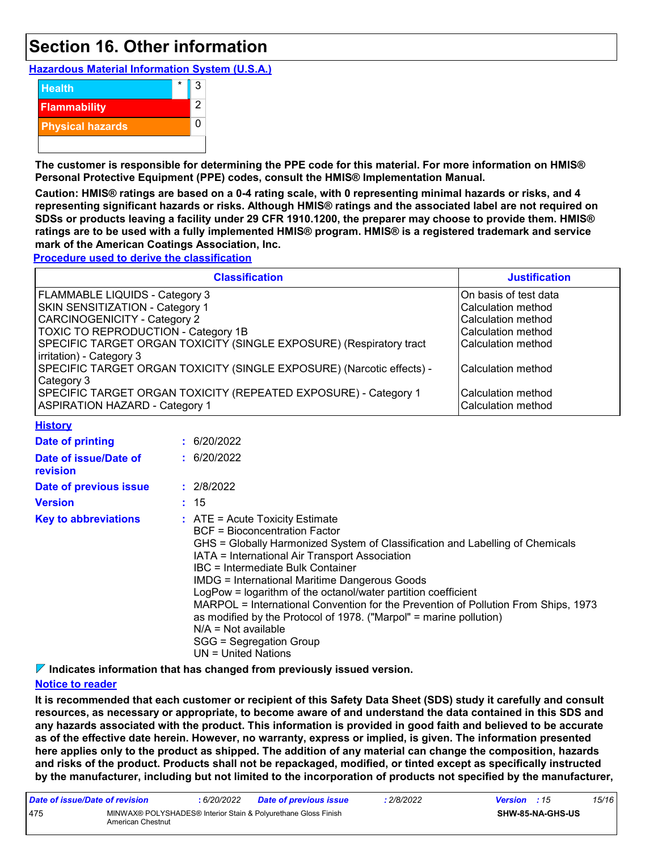### **Section 16. Other information**

**Hazardous Material Information System (U.S.A.)**



**The customer is responsible for determining the PPE code for this material. For more information on HMIS® Personal Protective Equipment (PPE) codes, consult the HMIS® Implementation Manual.**

**Caution: HMIS® ratings are based on a 0-4 rating scale, with 0 representing minimal hazards or risks, and 4 representing significant hazards or risks. Although HMIS® ratings and the associated label are not required on SDSs or products leaving a facility under 29 CFR 1910.1200, the preparer may choose to provide them. HMIS® ratings are to be used with a fully implemented HMIS® program. HMIS® is a registered trademark and service mark of the American Coatings Association, Inc.**

**Procedure used to derive the classification**

| <b>Classification</b>                                                                                    | <b>Justification</b>                        |
|----------------------------------------------------------------------------------------------------------|---------------------------------------------|
| <b>FLAMMABLE LIQUIDS - Category 3</b>                                                                    | On basis of test data                       |
| <b>SKIN SENSITIZATION - Category 1</b>                                                                   | Calculation method                          |
| <b>CARCINOGENICITY - Category 2</b>                                                                      | Calculation method                          |
| TOXIC TO REPRODUCTION - Category 1B                                                                      | Calculation method                          |
| SPECIFIC TARGET ORGAN TOXICITY (SINGLE EXPOSURE) (Respiratory tract<br>irritation) - Category 3          | Calculation method                          |
| SPECIFIC TARGET ORGAN TOXICITY (SINGLE EXPOSURE) (Narcotic effects) -<br>Category 3                      | lCalculation method                         |
| SPECIFIC TARGET ORGAN TOXICITY (REPEATED EXPOSURE) - Category 1<br><b>ASPIRATION HAZARD - Category 1</b> | l Calculation method<br>lCalculation method |

|  |  |  |  |  |  |  |  |  |  |  |  |  |  |  |  |  |  |  |  |  |  |  |  |  |  |  |  |  |  |  |  |  |  |  |  | <b>History</b> |  |  |  |  |  |  |
|--|--|--|--|--|--|--|--|--|--|--|--|--|--|--|--|--|--|--|--|--|--|--|--|--|--|--|--|--|--|--|--|--|--|--|--|----------------|--|--|--|--|--|--|
|  |  |  |  |  |  |  |  |  |  |  |  |  |  |  |  |  |  |  |  |  |  |  |  |  |  |  |  |  |  |  |  |  |  |  |  |                |  |  |  |  |  |  |
|  |  |  |  |  |  |  |  |  |  |  |  |  |  |  |  |  |  |  |  |  |  |  |  |  |  |  |  |  |  |  |  |  |  |  |  |                |  |  |  |  |  |  |
|  |  |  |  |  |  |  |  |  |  |  |  |  |  |  |  |  |  |  |  |  |  |  |  |  |  |  |  |  |  |  |  |  |  |  |  |                |  |  |  |  |  |  |
|  |  |  |  |  |  |  |  |  |  |  |  |  |  |  |  |  |  |  |  |  |  |  |  |  |  |  |  |  |  |  |  |  |  |  |  |                |  |  |  |  |  |  |
|  |  |  |  |  |  |  |  |  |  |  |  |  |  |  |  |  |  |  |  |  |  |  |  |  |  |  |  |  |  |  |  |  |  |  |  |                |  |  |  |  |  |  |
|  |  |  |  |  |  |  |  |  |  |  |  |  |  |  |  |  |  |  |  |  |  |  |  |  |  |  |  |  |  |  |  |  |  |  |  |                |  |  |  |  |  |  |
|  |  |  |  |  |  |  |  |  |  |  |  |  |  |  |  |  |  |  |  |  |  |  |  |  |  |  |  |  |  |  |  |  |  |  |  |                |  |  |  |  |  |  |
|  |  |  |  |  |  |  |  |  |  |  |  |  |  |  |  |  |  |  |  |  |  |  |  |  |  |  |  |  |  |  |  |  |  |  |  |                |  |  |  |  |  |  |
|  |  |  |  |  |  |  |  |  |  |  |  |  |  |  |  |  |  |  |  |  |  |  |  |  |  |  |  |  |  |  |  |  |  |  |  |                |  |  |  |  |  |  |
|  |  |  |  |  |  |  |  |  |  |  |  |  |  |  |  |  |  |  |  |  |  |  |  |  |  |  |  |  |  |  |  |  |  |  |  |                |  |  |  |  |  |  |
|  |  |  |  |  |  |  |  |  |  |  |  |  |  |  |  |  |  |  |  |  |  |  |  |  |  |  |  |  |  |  |  |  |  |  |  |                |  |  |  |  |  |  |
|  |  |  |  |  |  |  |  |  |  |  |  |  |  |  |  |  |  |  |  |  |  |  |  |  |  |  |  |  |  |  |  |  |  |  |  |                |  |  |  |  |  |  |
|  |  |  |  |  |  |  |  |  |  |  |  |  |  |  |  |  |  |  |  |  |  |  |  |  |  |  |  |  |  |  |  |  |  |  |  |                |  |  |  |  |  |  |
|  |  |  |  |  |  |  |  |  |  |  |  |  |  |  |  |  |  |  |  |  |  |  |  |  |  |  |  |  |  |  |  |  |  |  |  |                |  |  |  |  |  |  |
|  |  |  |  |  |  |  |  |  |  |  |  |  |  |  |  |  |  |  |  |  |  |  |  |  |  |  |  |  |  |  |  |  |  |  |  |                |  |  |  |  |  |  |
|  |  |  |  |  |  |  |  |  |  |  |  |  |  |  |  |  |  |  |  |  |  |  |  |  |  |  |  |  |  |  |  |  |  |  |  |                |  |  |  |  |  |  |
|  |  |  |  |  |  |  |  |  |  |  |  |  |  |  |  |  |  |  |  |  |  |  |  |  |  |  |  |  |  |  |  |  |  |  |  |                |  |  |  |  |  |  |
|  |  |  |  |  |  |  |  |  |  |  |  |  |  |  |  |  |  |  |  |  |  |  |  |  |  |  |  |  |  |  |  |  |  |  |  |                |  |  |  |  |  |  |
|  |  |  |  |  |  |  |  |  |  |  |  |  |  |  |  |  |  |  |  |  |  |  |  |  |  |  |  |  |  |  |  |  |  |  |  |                |  |  |  |  |  |  |
|  |  |  |  |  |  |  |  |  |  |  |  |  |  |  |  |  |  |  |  |  |  |  |  |  |  |  |  |  |  |  |  |  |  |  |  |                |  |  |  |  |  |  |
|  |  |  |  |  |  |  |  |  |  |  |  |  |  |  |  |  |  |  |  |  |  |  |  |  |  |  |  |  |  |  |  |  |  |  |  |                |  |  |  |  |  |  |
|  |  |  |  |  |  |  |  |  |  |  |  |  |  |  |  |  |  |  |  |  |  |  |  |  |  |  |  |  |  |  |  |  |  |  |  |                |  |  |  |  |  |  |
|  |  |  |  |  |  |  |  |  |  |  |  |  |  |  |  |  |  |  |  |  |  |  |  |  |  |  |  |  |  |  |  |  |  |  |  |                |  |  |  |  |  |  |
|  |  |  |  |  |  |  |  |  |  |  |  |  |  |  |  |  |  |  |  |  |  |  |  |  |  |  |  |  |  |  |  |  |  |  |  |                |  |  |  |  |  |  |
|  |  |  |  |  |  |  |  |  |  |  |  |  |  |  |  |  |  |  |  |  |  |  |  |  |  |  |  |  |  |  |  |  |  |  |  |                |  |  |  |  |  |  |
|  |  |  |  |  |  |  |  |  |  |  |  |  |  |  |  |  |  |  |  |  |  |  |  |  |  |  |  |  |  |  |  |  |  |  |  |                |  |  |  |  |  |  |
|  |  |  |  |  |  |  |  |  |  |  |  |  |  |  |  |  |  |  |  |  |  |  |  |  |  |  |  |  |  |  |  |  |  |  |  |                |  |  |  |  |  |  |
|  |  |  |  |  |  |  |  |  |  |  |  |  |  |  |  |  |  |  |  |  |  |  |  |  |  |  |  |  |  |  |  |  |  |  |  |                |  |  |  |  |  |  |
|  |  |  |  |  |  |  |  |  |  |  |  |  |  |  |  |  |  |  |  |  |  |  |  |  |  |  |  |  |  |  |  |  |  |  |  |                |  |  |  |  |  |  |
|  |  |  |  |  |  |  |  |  |  |  |  |  |  |  |  |  |  |  |  |  |  |  |  |  |  |  |  |  |  |  |  |  |  |  |  |                |  |  |  |  |  |  |
|  |  |  |  |  |  |  |  |  |  |  |  |  |  |  |  |  |  |  |  |  |  |  |  |  |  |  |  |  |  |  |  |  |  |  |  |                |  |  |  |  |  |  |
|  |  |  |  |  |  |  |  |  |  |  |  |  |  |  |  |  |  |  |  |  |  |  |  |  |  |  |  |  |  |  |  |  |  |  |  |                |  |  |  |  |  |  |
|  |  |  |  |  |  |  |  |  |  |  |  |  |  |  |  |  |  |  |  |  |  |  |  |  |  |  |  |  |  |  |  |  |  |  |  |                |  |  |  |  |  |  |
|  |  |  |  |  |  |  |  |  |  |  |  |  |  |  |  |  |  |  |  |  |  |  |  |  |  |  |  |  |  |  |  |  |  |  |  |                |  |  |  |  |  |  |
|  |  |  |  |  |  |  |  |  |  |  |  |  |  |  |  |  |  |  |  |  |  |  |  |  |  |  |  |  |  |  |  |  |  |  |  |                |  |  |  |  |  |  |
|  |  |  |  |  |  |  |  |  |  |  |  |  |  |  |  |  |  |  |  |  |  |  |  |  |  |  |  |  |  |  |  |  |  |  |  |                |  |  |  |  |  |  |
|  |  |  |  |  |  |  |  |  |  |  |  |  |  |  |  |  |  |  |  |  |  |  |  |  |  |  |  |  |  |  |  |  |  |  |  |                |  |  |  |  |  |  |
|  |  |  |  |  |  |  |  |  |  |  |  |  |  |  |  |  |  |  |  |  |  |  |  |  |  |  |  |  |  |  |  |  |  |  |  |                |  |  |  |  |  |  |
|  |  |  |  |  |  |  |  |  |  |  |  |  |  |  |  |  |  |  |  |  |  |  |  |  |  |  |  |  |  |  |  |  |  |  |  |                |  |  |  |  |  |  |
|  |  |  |  |  |  |  |  |  |  |  |  |  |  |  |  |  |  |  |  |  |  |  |  |  |  |  |  |  |  |  |  |  |  |  |  |                |  |  |  |  |  |  |
|  |  |  |  |  |  |  |  |  |  |  |  |  |  |  |  |  |  |  |  |  |  |  |  |  |  |  |  |  |  |  |  |  |  |  |  |                |  |  |  |  |  |  |
|  |  |  |  |  |  |  |  |  |  |  |  |  |  |  |  |  |  |  |  |  |  |  |  |  |  |  |  |  |  |  |  |  |  |  |  |                |  |  |  |  |  |  |
|  |  |  |  |  |  |  |  |  |  |  |  |  |  |  |  |  |  |  |  |  |  |  |  |  |  |  |  |  |  |  |  |  |  |  |  |                |  |  |  |  |  |  |
|  |  |  |  |  |  |  |  |  |  |  |  |  |  |  |  |  |  |  |  |  |  |  |  |  |  |  |  |  |  |  |  |  |  |  |  |                |  |  |  |  |  |  |
|  |  |  |  |  |  |  |  |  |  |  |  |  |  |  |  |  |  |  |  |  |  |  |  |  |  |  |  |  |  |  |  |  |  |  |  |                |  |  |  |  |  |  |
|  |  |  |  |  |  |  |  |  |  |  |  |  |  |  |  |  |  |  |  |  |  |  |  |  |  |  |  |  |  |  |  |  |  |  |  |                |  |  |  |  |  |  |
|  |  |  |  |  |  |  |  |  |  |  |  |  |  |  |  |  |  |  |  |  |  |  |  |  |  |  |  |  |  |  |  |  |  |  |  |                |  |  |  |  |  |  |
|  |  |  |  |  |  |  |  |  |  |  |  |  |  |  |  |  |  |  |  |  |  |  |  |  |  |  |  |  |  |  |  |  |  |  |  |                |  |  |  |  |  |  |
|  |  |  |  |  |  |  |  |  |  |  |  |  |  |  |  |  |  |  |  |  |  |  |  |  |  |  |  |  |  |  |  |  |  |  |  |                |  |  |  |  |  |  |
|  |  |  |  |  |  |  |  |  |  |  |  |  |  |  |  |  |  |  |  |  |  |  |  |  |  |  |  |  |  |  |  |  |  |  |  |                |  |  |  |  |  |  |
|  |  |  |  |  |  |  |  |  |  |  |  |  |  |  |  |  |  |  |  |  |  |  |  |  |  |  |  |  |  |  |  |  |  |  |  |                |  |  |  |  |  |  |
|  |  |  |  |  |  |  |  |  |  |  |  |  |  |  |  |  |  |  |  |  |  |  |  |  |  |  |  |  |  |  |  |  |  |  |  |                |  |  |  |  |  |  |
|  |  |  |  |  |  |  |  |  |  |  |  |  |  |  |  |  |  |  |  |  |  |  |  |  |  |  |  |  |  |  |  |  |  |  |  |                |  |  |  |  |  |  |
|  |  |  |  |  |  |  |  |  |  |  |  |  |  |  |  |  |  |  |  |  |  |  |  |  |  |  |  |  |  |  |  |  |  |  |  |                |  |  |  |  |  |  |
|  |  |  |  |  |  |  |  |  |  |  |  |  |  |  |  |  |  |  |  |  |  |  |  |  |  |  |  |  |  |  |  |  |  |  |  |                |  |  |  |  |  |  |
|  |  |  |  |  |  |  |  |  |  |  |  |  |  |  |  |  |  |  |  |  |  |  |  |  |  |  |  |  |  |  |  |  |  |  |  |                |  |  |  |  |  |  |
|  |  |  |  |  |  |  |  |  |  |  |  |  |  |  |  |  |  |  |  |  |  |  |  |  |  |  |  |  |  |  |  |  |  |  |  |                |  |  |  |  |  |  |
|  |  |  |  |  |  |  |  |  |  |  |  |  |  |  |  |  |  |  |  |  |  |  |  |  |  |  |  |  |  |  |  |  |  |  |  |                |  |  |  |  |  |  |
|  |  |  |  |  |  |  |  |  |  |  |  |  |  |  |  |  |  |  |  |  |  |  |  |  |  |  |  |  |  |  |  |  |  |  |  |                |  |  |  |  |  |  |
|  |  |  |  |  |  |  |  |  |  |  |  |  |  |  |  |  |  |  |  |  |  |  |  |  |  |  |  |  |  |  |  |  |  |  |  |                |  |  |  |  |  |  |
|  |  |  |  |  |  |  |  |  |  |  |  |  |  |  |  |  |  |  |  |  |  |  |  |  |  |  |  |  |  |  |  |  |  |  |  |                |  |  |  |  |  |  |

| <b>Date of printing</b>                  | : 6/20/2022                                                                                                                                                                                                                                                                                                                                                                                                                                                                                                                                                                                                           |
|------------------------------------------|-----------------------------------------------------------------------------------------------------------------------------------------------------------------------------------------------------------------------------------------------------------------------------------------------------------------------------------------------------------------------------------------------------------------------------------------------------------------------------------------------------------------------------------------------------------------------------------------------------------------------|
| Date of issue/Date of<br><b>revision</b> | : 6/20/2022                                                                                                                                                                                                                                                                                                                                                                                                                                                                                                                                                                                                           |
| Date of previous issue                   | : 2/8/2022                                                                                                                                                                                                                                                                                                                                                                                                                                                                                                                                                                                                            |
| <b>Version</b>                           | : 15                                                                                                                                                                                                                                                                                                                                                                                                                                                                                                                                                                                                                  |
| <b>Key to abbreviations</b>              | $\therefore$ ATE = Acute Toxicity Estimate<br>BCF = Bioconcentration Factor<br>GHS = Globally Harmonized System of Classification and Labelling of Chemicals<br>IATA = International Air Transport Association<br>IBC = Intermediate Bulk Container<br><b>IMDG = International Maritime Dangerous Goods</b><br>LogPow = logarithm of the octanol/water partition coefficient<br>MARPOL = International Convention for the Prevention of Pollution From Ships, 1973<br>as modified by the Protocol of 1978. ("Marpol" = marine pollution)<br>$N/A = Not available$<br>SGG = Segregation Group<br>$UN = United Nations$ |

**Indicates information that has changed from previously issued version.**

#### **Notice to reader**

**It is recommended that each customer or recipient of this Safety Data Sheet (SDS) study it carefully and consult resources, as necessary or appropriate, to become aware of and understand the data contained in this SDS and any hazards associated with the product. This information is provided in good faith and believed to be accurate as of the effective date herein. However, no warranty, express or implied, is given. The information presented here applies only to the product as shipped. The addition of any material can change the composition, hazards and risks of the product. Products shall not be repackaged, modified, or tinted except as specifically instructed by the manufacturer, including but not limited to the incorporation of products not specified by the manufacturer,**

| Date of issue/Date of revision |                                                                                     | : 6/20/2022 | <b>Date of previous issue</b> | .2/8/2022 | <b>Version</b> : 15 |                         | 15/16 |  |
|--------------------------------|-------------------------------------------------------------------------------------|-------------|-------------------------------|-----------|---------------------|-------------------------|-------|--|
| 475                            | MINWAX® POLYSHADES® Interior Stain & Polyurethane Gloss Finish<br>American Chestnut |             |                               |           |                     | <b>SHW-85-NA-GHS-US</b> |       |  |